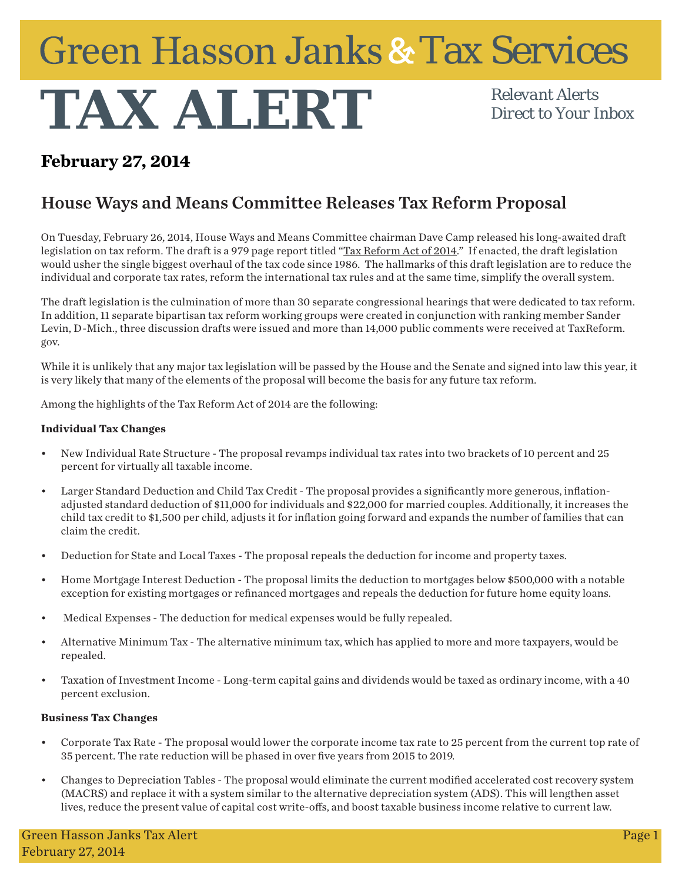## **Green Hasson Janks & Tax Services**

# **TAX ALERT** *Relevant Alerts Direct to Your I*

*Direct to Your Inbox*

## **February 27, 2014**

## House Ways and Means Committee Releases Tax Reform Proposal

On Tuesday, February 26, 2014, House Ways and Means Committee chairman Dave Camp released his long-awaited draft legislation on tax reform. The draft is a 979 page report titled "Tax Reform Act of 2014." If enacted, the draft legislation would usher the single biggest overhaul of the tax code since 1986. The hallmarks of this draft legislation are to reduce the individual and corporate tax rates, reform the international tax rules and at the same time, simplify the overall system.

The draft legislation is the culmination of more than 30 separate congressional hearings that were dedicated to tax reform. In addition, 11 separate bipartisan tax reform working groups were created in conjunction with ranking member Sander Levin, D-Mich., three discussion drafts were issued and more than 14,000 public comments were received at TaxReform. gov.

While it is unlikely that any major tax legislation will be passed by the House and the Senate and signed into law this year, it is very likely that many of the elements of the proposal will become the basis for any future tax reform.

Among the highlights of the Tax Reform Act of 2014 are the following:

### **Individual Tax Changes**

- New Individual Rate Structure The proposal revamps individual tax rates into two brackets of 10 percent and 25 percent for virtually all taxable income.
- Larger Standard Deduction and Child Tax Credit The proposal provides a significantly more generous, inflationadjusted standard deduction of \$11,000 for individuals and \$22,000 for married couples. Additionally, it increases the child tax credit to \$1,500 per child, adjusts it for inflation going forward and expands the number of families that can claim the credit.
- Deduction for State and Local Taxes The proposal repeals the deduction for income and property taxes.
- Home Mortgage Interest Deduction The proposal limits the deduction to mortgages below \$500,000 with a notable exception for existing mortgages or refinanced mortgages and repeals the deduction for future home equity loans.
- Medical Expenses The deduction for medical expenses would be fully repealed.
- Alternative Minimum Tax The alternative minimum tax, which has applied to more and more taxpayers, would be repealed.
- Taxation of Investment Income Long-term capital gains and dividends would be taxed as ordinary income, with a 40 percent exclusion.

#### **Business Tax Changes**

- Corporate Tax Rate The proposal would lower the corporate income tax rate to 25 percent from the current top rate of 35 percent. The rate reduction will be phased in over five years from 2015 to 2019.
- Changes to Depreciation Tables The proposal would eliminate the current modified accelerated cost recovery system (MACRS) and replace it with a system similar to the alternative depreciation system (ADS). This will lengthen asset lives, reduce the present value of capital cost write-offs, and boost taxable business income relative to current law.